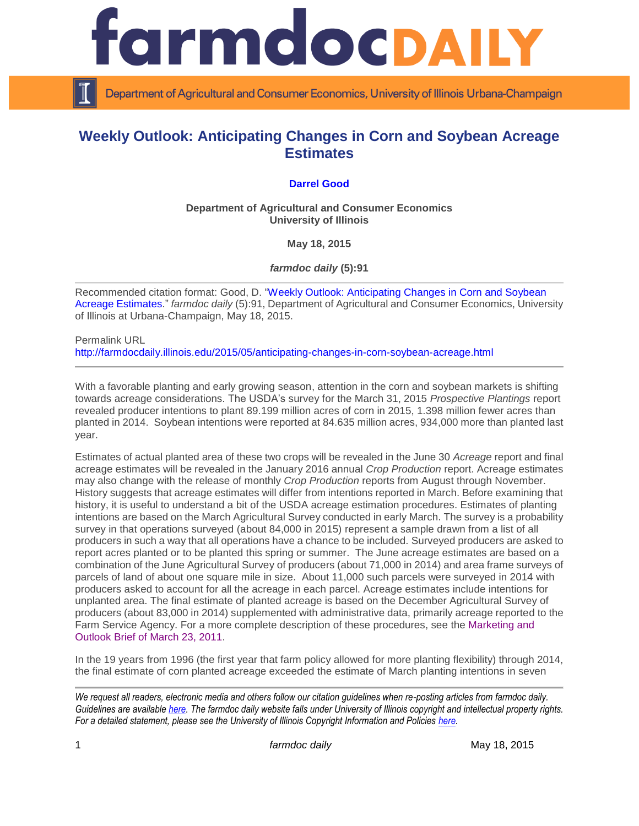

Department of Agricultural and Consumer Economics, University of Illinois Urbana-Champaign

## **Weekly Outlook: Anticipating Changes in Corn and Soybean Acreage Estimates**

## **[Darrel Good](http://farmdoc.illinois.edu/good)**

**Department of Agricultural and Consumer Economics University of Illinois**

**May 18, 2015**

*farmdoc daily* **(5):91**

Recommended citation format: Good, D. ["Weekly Outlook: Anticipating Changes in Corn and Soybean](http://farmdocdaily.illinois.edu/2015/05/anticipating-changes-in-corn-soybean-acreage.html)  [Acreage Estimates.](http://farmdocdaily.illinois.edu/2015/05/anticipating-changes-in-corn-soybean-acreage.html)" *farmdoc daily* (5):91, Department of Agricultural and Consumer Economics, University of Illinois at Urbana-Champaign, May 18, 2015.

Permalink URL <http://farmdocdaily.illinois.edu/2015/05/anticipating-changes-in-corn-soybean-acreage.html>

With a favorable planting and early growing season, attention in the corn and soybean markets is shifting towards acreage considerations. The USDA's survey for the March 31, 2015 *Prospective Plantings* report revealed producer intentions to plant 89.199 million acres of corn in 2015, 1.398 million fewer acres than planted in 2014. Soybean intentions were reported at 84.635 million acres, 934,000 more than planted last year.

Estimates of actual planted area of these two crops will be revealed in the June 30 *Acreage* report and final acreage estimates will be revealed in the January 2016 annual *Crop Production* report. Acreage estimates may also change with the release of monthly *Crop Production* reports from August through November. History suggests that acreage estimates will differ from intentions reported in March. Before examining that history, it is useful to understand a bit of the USDA acreage estimation procedures. Estimates of planting intentions are based on the March Agricultural Survey conducted in early March. The survey is a probability survey in that operations surveyed (about 84,000 in 2015) represent a sample drawn from a list of all producers in such a way that all operations have a chance to be included. Surveyed producers are asked to report acres planted or to be planted this spring or summer. The June acreage estimates are based on a combination of the June Agricultural Survey of producers (about 71,000 in 2014) and area frame surveys of parcels of land of about one square mile in size. About 11,000 such parcels were surveyed in 2014 with producers asked to account for all the acreage in each parcel. Acreage estimates include intentions for unplanted area. The final estimate of planted acreage is based on the December Agricultural Survey of producers (about 83,000 in 2014) supplemented with administrative data, primarily acreage reported to the Farm Service Agency. For a more complete description of these procedures, see the [Marketing and](http://www.farmdoc.illinois.edu/marketing/mobr/mobr_11-02/mobr_11-02.pdf)  [Outlook Brief of March 23, 2011.](http://www.farmdoc.illinois.edu/marketing/mobr/mobr_11-02/mobr_11-02.pdf)

In the 19 years from 1996 (the first year that farm policy allowed for more planting flexibility) through 2014, the final estimate of corn planted acreage exceeded the estimate of March planting intentions in seven

*We request all readers, electronic media and others follow our citation guidelines when re-posting articles from farmdoc daily. Guidelines are available [here.](http://farmdocdaily.illinois.edu/citationguide.html) The farmdoc daily website falls under University of Illinois copyright and intellectual property rights. For a detailed statement, please see the University of Illinois Copyright Information and Policies [here.](http://www.cio.illinois.edu/policies/copyright/)*